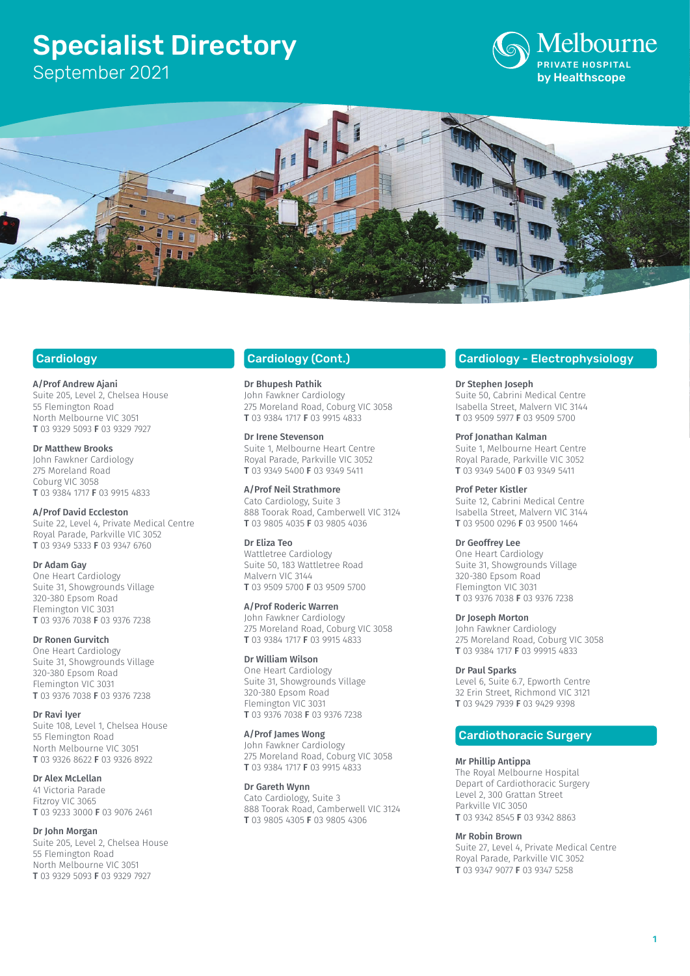# Specialist Directory

September 2021





# **Cardiology**

A/Prof Andrew Ajani

Suite 205, Level 2, Chelsea House 55 Flemington Road North Melbourne VIC 3051 T 03 9329 5093 F 03 9329 7927

Dr Matthew Brooks John Fawkner Cardiology

275 Moreland Road Coburg VIC 3058 T 03 9384 1717 F 03 9915 4833

# A/Prof David Eccleston

Suite 22, Level 4, Private Medical Centre Royal Parade, Parkville VIC 3052 T 03 9349 5333 F 03 9347 6760

# Dr Adam Gay

One Heart Cardiology Suite 31, Showgrounds Village 320-380 Epsom Road Flemington VIC 3031 T 03 9376 7038 F 03 9376 7238

### Dr Ronen Gurvitch

One Heart Cardiology Suite 31, Showgrounds Village 320-380 Epsom Road Flemington VIC 3031 T 03 9376 7038 F 03 9376 7238

Dr Ravi Iyer Suite 108, Level 1, Chelsea House 55 Flemington Road North Melbourne VIC 3051 T 03 9326 8622 F 03 9326 8922

# Dr Alex McLellan

41 Victoria Parade Fitzroy VIC 3065 T 03 9233 3000 F 03 9076 2461

### Dr John Morgan

Suite 205, Level 2, Chelsea House 55 Flemington Road North Melbourne VIC 3051 T 03 9329 5093 F 03 9329 7927

# Cardiology (Cont.)

Dr Bhupesh Pathik John Fawkner Cardiology 275 Moreland Road, Coburg VIC 3058 T 03 9384 1717 F 03 9915 4833

# Dr Irene Stevenson

Suite 1, Melbourne Heart Centre Royal Parade, Parkville VIC 3052 T 03 9349 5400 F 03 9349 5411

# A/Prof Neil Strathmore

Cato Cardiology, Suite 3 888 Toorak Road, Camberwell VIC 3124 T 03 9805 4035 F 03 9805 4036

### Dr Eliza Teo

Wattletree Cardiology Suite 50, 183 Wattletree Road Malvern VIC 3144 T 03 9509 5700 F 03 9509 5700

### A/Prof Roderic Warren

John Fawkner Cardiology 275 Moreland Road, Coburg VIC 3058 T 03 9384 1717 F 03 9915 4833

### Dr William Wilson

One Heart Cardiology Suite 31, Showgrounds Village 320-380 Epsom Road Flemington VIC 3031 T 03 9376 7038 F 03 9376 7238

### A/Prof James Wong

John Fawkner Cardiology 275 Moreland Road, Coburg VIC 3058 T 03 9384 1717 F 03 9915 4833

# Dr Gareth Wynn

Cato Cardiology, Suite 3 888 Toorak Road, Camberwell VIC 3124 T 03 9805 4305 F 03 9805 4306

# Cardiology - Electrophysiology

# Dr Stephen Joseph

Suite 50, Cabrini Medical Centre Isabella Street, Malvern VIC 3144 T 03 9509 5977 F 03 9509 5700

# Prof Jonathan Kalman

Suite 1, Melbourne Heart Centre Royal Parade, Parkville VIC 3052 T 03 9349 5400 F 03 9349 5411

# Prof Peter Kistler

Suite 12, Cabrini Medical Centre Isabella Street, Malvern VIC 3144 T 03 9500 0296 F 03 9500 1464

# Dr Geoffrey Lee

One Heart Cardiology Suite 31, Showgrounds Village 320-380 Epsom Road Flemington VIC 3031 T 03 9376 7038 F 03 9376 7238

### Dr Joseph Morton

John Fawkner Cardiology 275 Moreland Road, Coburg VIC 3058 T 03 9384 1717 F 03 99915 4833

# Dr Paul Sparks

Level 6, Suite 6.7, Epworth Centre 32 Erin Street, Richmond VIC 3121 T 03 9429 7939 F 03 9429 9398

# Cardiothoracic Surgery

## Mr Phillip Antippa

The Royal Melbourne Hospital Depart of Cardiothoracic Surgery Level 2, 300 Grattan Street Parkville VIC 3050 T 03 9342 8545 F 03 9342 8863

# Mr Robin Brown

Suite 27, Level 4, Private Medical Centre Royal Parade, Parkville VIC 3052 T 03 9347 9077 F 03 9347 5258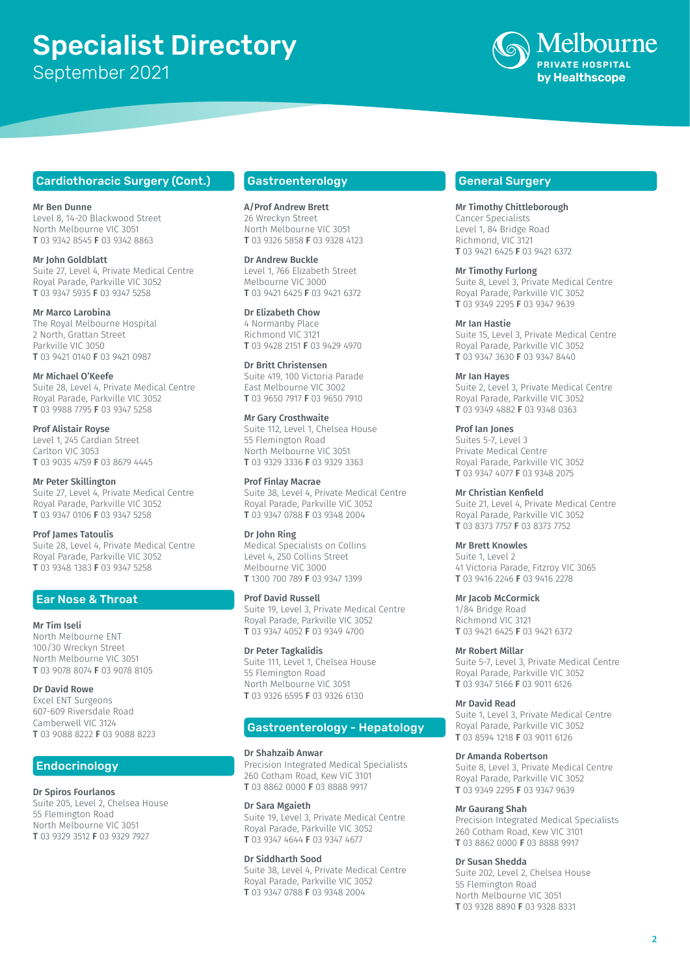# Specialist Directory September 2021



# Cardiothoracic Surgery (Cont.)

Mr Ben Dunne Level 8, 14-20 Blackwood Street North Melbourne VIC 3051 T 03 9342 8545 F 03 9342 8863

Mr John Goldblatt Suite 27, Level 4, Private Medical Centre Royal Parade, Parkville VIC 3052 T 03 9347 5935 F 03 9347 5258

Mr Marco Larobina The Royal Melbourne Hospital 2 North, Grattan Street Parkville VIC 3050 T 03 9421 0140 F 03 9421 0987

Mr Michael O'Keefe Suite 28, Level 4, Private Medical Centre Royal Parade, Parkville VIC 3052 T 03 9988 7795 F 03 9347 5258

Prof Alistair Royse Level 1, 245 Cardian Street Carlton VIC 3053 T 03 9035 4759 F 03 8679 4445

Mr Peter Skillington

Suite 27, Level 4, Private Medical Centre Royal Parade, Parkville VIC 3052 T 03 9347 0106 F 03 9347 5258

### Prof James Tatoulis

Suite 28, Level 4, Private Medical Centre Royal Parade, Parkville VIC 3052 T 03 9348 1383 F 03 9347 5258

# Ear Nose & Throat

### Mr Tim Iseli

North Melbourne ENT 100/30 Wreckyn Street North Melbourne VIC 3051 T 03 9078 8074 F 03 9078 8105

### Dr David Rowe

Excel ENT Surgeons 607-609 Riversdale Road Camberwell VIC 3124 T 03 9088 8222 F 03 9088 8223

# **Endocrinology**

# Dr Spiros Fourlanos

Suite 205, Level 2, Chelsea House 55 Flemington Road North Melbourne VIC 3051 T 03 9329 3512 F 03 9329 7927

# Gastroenterology

A/Prof Andrew Brett 26 Wreckyn Street North Melbourne VIC 3051 T 03 9326 5858 F 03 9328 4123

Dr Andrew Buckle Level 1, 766 Elizabeth Street Melbourne VIC 3000 T 03 9421 6425 F 03 9421 6372

Dr Elizabeth Chow 4 Normanby Place Richmond VIC 3121 T 03 9428 2151 F 03 9429 4970

Dr Britt Christensen Suite 419, 100 Victoria Parade East Melbourne VIC 3002 T 03 9650 7917 F 03 9650 7910

Mr Gary Crosthwaite Suite 112, Level 1, Chelsea House 55 Flemington Road North Melbourne VIC 3051 T 03 9329 3336 F 03 9329 3363

Prof Finlay Macrae Suite 38, Level 4, Private Medical Centre Royal Parade, Parkville VIC 3052 T 03 9347 0788 F 03 9348 2004

### Dr John Ring

Medical Specialists on Collins Level 4, 250 Collins Street Melbourne VIC 3000 T 1300 700 789 F 03 9347 1399

#### Prof David Russell

Suite 19, Level 3, Private Medical Centre Royal Parade, Parkville VIC 3052 T 03 9347 4052 F 03 9349 4700

# Dr Peter Tagkalidis

Suite 111, Level 1, Chelsea House 55 Flemington Road North Melbourne VIC 3051 T 03 9326 6595 F 03 9326 6130

# Gastroenterology - Hepatology

#### Dr Shahzaib Anwar

Precision Integrated Medical Specialists 260 Cotham Road, Kew VIC 3101 T 03 8862 0000 F 03 8888 9917

# Dr Sara Mgaieth

Suite 19, Level 3, Private Medical Centre Royal Parade, Parkville VIC 3052 T 03 9347 4644 F 03 9347 4677

### Dr Siddharth Sood

Suite 38, Level 4, Private Medical Centre Royal Parade, Parkville VIC 3052 T 03 9347 0788 F 03 9348 2004

# General Surgery

Mr Timothy Chittleborough Cancer Specialists Level 1, 84 Bridge Road Richmond, VIC 3121 T 03 9421 6425 F 03 9421 6372

Mr Timothy Furlong

Suite 8, Level 3, Private Medical Centre Royal Parade, Parkville VIC 3052 T 03 9349 2295 F 03 9347 9639

# Mr Ian Hastie

Suite 15, Level 3, Private Medical Centre Royal Parade, Parkville VIC 3052 T 03 9347 3630 F 03 9347 8440

Mr Ian Hayes

Suite 2, Level 3, Private Medical Centre Royal Parade, Parkville VIC 3052 T 03 9349 4882 F 03 9348 0363

Prof Ian Jones Suites 5-7, Level 3 Private Medical Centre Royal Parade, Parkville VIC 3052 T 03 9347 4077 F 03 9348 2075

Mr Christian Kenfield Suite 21, Level 4, Private Medical Centre Royal Parade, Parkville VIC 3052 T 03 8373 7757 F 03 8373 7752

Mr Brett Knowles Suite 1, Level 2 41 Victoria Parade, Fitzroy VIC 3065 T 03 9416 2246 F 03 9416 2278

### Mr Jacob McCormick

1/84 Bridge Road Richmond VIC 3121 T 03 9421 6425 F 03 9421 6372

### Mr Robert Millar

Suite 5-7, Level 3, Private Medical Centre Royal Parade, Parkville VIC 3052 T 03 9347 5166 F 03 9011 6126

### Mr David Read

Suite 1, Level 3, Private Medical Centre Royal Parade, Parkville VIC 3052 T 03 8594 1218 F 03 9011 6126

### Dr Amanda Robertson

Suite 8, Level 3, Private Medical Centre Royal Parade, Parkville VIC 3052 T 03 9349 2295 F 03 9347 9639

#### Mr Gaurang Shah

Precision Integrated Medical Specialists 260 Cotham Road, Kew VIC 3101 T 03 8862 0000 F 03 8888 9917

#### Dr Susan Shedda

Suite 202, Level 2, Chelsea House 55 Flemington Road North Melbourne VIC 3051 T 03 9328 8890 F 03 9328 8331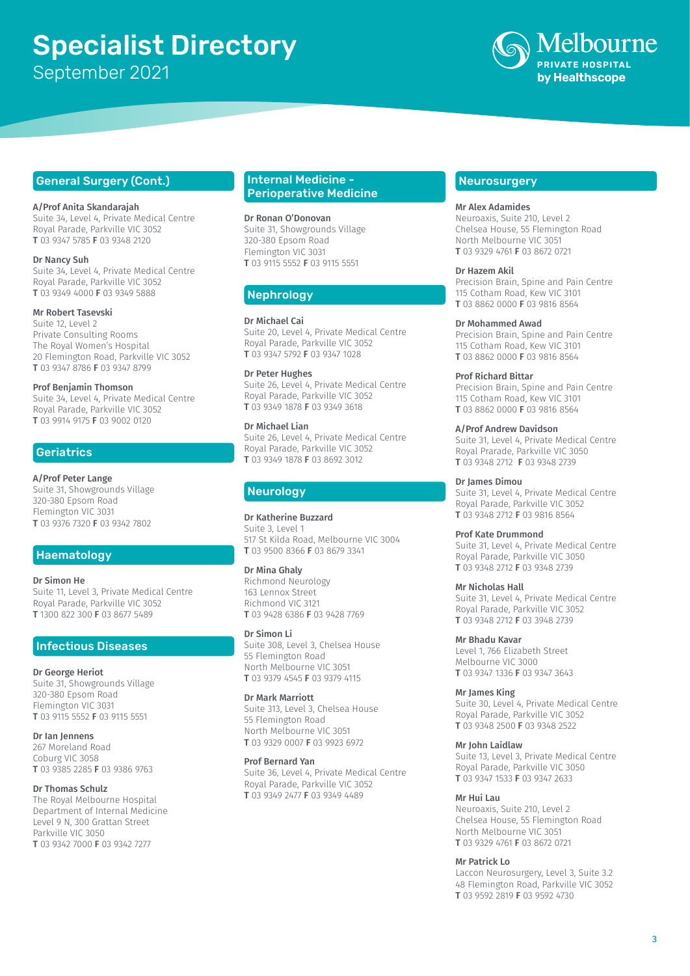# Specialist Directory September 2021



# General Surgery (Cont.)

### A/Prof Anita Skandarajah

Suite 34, Level 4, Private Medical Centre Royal Parade, Parkville VIC 3052 T 03 9347 5785 F 03 9348 2120

### Dr Nancy Suh

Suite 34, Level 4, Private Medical Centre Royal Parade, Parkville VIC 3052 T 03 9349 4000 F 03 9349 5888

### Mr Robert Tasevski

Suite 12, Level 2 Private Consulting Rooms The Royal Women's Hospital 20 Flemington Road, Parkville VIC 3052 T 03 9347 8786 F 03 9347 8799

Prof Benjamin Thomson Suite 34, Level 4, Private Medical Centre Royal Parade, Parkville VIC 3052 T 03 9914 9175 F 03 9002 0120

# **Geriatrics**

A/Prof Peter Lange Suite 31, Showgrounds Village 320-380 Epsom Road Flemington VIC 3031 T 03 9376 7320 F 03 9342 7802

# **Haematology**

# Dr Simon He

Suite 11, Level 3, Private Medical Centre Royal Parade, Parkville VIC 3052 T 1300 822 300 F 03 8677 5489

# Infectious Diseases

Dr George Heriot Suite 31, Showgrounds Village 320-380 Epsom Road Flemington VIC 3031 T 03 9115 5552 F 03 9115 5551

Dr Ian Jennens 267 Moreland Road Coburg VIC 3058 T 03 9385 2285 F 03 9386 9763

### Dr Thomas Schulz

The Royal Melbourne Hospital Department of Internal Medicine Level 9 N, 300 Grattan Street Parkville VIC 3050 T 03 9342 7000 F 03 9342 7277

# Internal Medicine - Perioperative Medicine

Dr Ronan O'Donovan

Suite 31, Showgrounds Village 320-380 Epsom Road Flemington VIC 3031 T 03 9115 5552 F 03 9115 5551

# Nephrology

Dr Michael Cai

Suite 20, Level 4, Private Medical Centre Royal Parade, Parkville VIC 3052 T 03 9347 5792 F 03 9347 1028

# Dr Peter Hughes

Suite 26, Level 4, Private Medical Centre Royal Parade, Parkville VIC 3052 T 03 9349 1878 F 03 9349 3618

# Dr Michael Lian

Suite 26, Level 4, Private Medical Centre Royal Parade, Parkville VIC 3052 T 03 9349 1878 F 03 8692 3012

# Neurology

Dr Katherine Buzzard Suite 3, Level 1 517 St Kilda Road, Melbourne VIC 3004 T 03 9500 8366 F 03 8679 3341

# Dr Mina Ghaly

Richmond Neurology 163 Lennox Street Richmond VIC 3121 T 03 9428 6386 F 03 9428 7769

### Dr Simon Li

Suite 308, Level 3, Chelsea House 55 Flemington Road North Melbourne VIC 3051 T 03 9379 4545 F 03 9379 4115

Dr Mark Marriott Suite 313, Level 3, Chelsea House

55 Flemington Road North Melbourne VIC 3051 T 03 9329 0007 F 03 9923 6972

### Prof Bernard Yan

Suite 36, Level 4, Private Medical Centre Royal Parade, Parkville VIC 3052 T 03 9349 2477 F 03 9349 4489

# **Neurosurgery**

### Mr Alex Adamides

Neuroaxis, Suite 210, Level 2 Chelsea House, 55 Flemington Road North Melbourne VIC 3051 T 03 9329 4761 F 03 8672 0721

### Dr Hazem Akil

Precision Brain, Spine and Pain Centre 115 Cotham Road, Kew VIC 3101 T 03 8862 0000 F 03 9816 8564

# Dr Mohammed Awad

Precision Brain, Spine and Pain Centre 115 Cotham Road, Kew VIC 3101 T 03 8862 0000 F 03 9816 8564

### Prof Richard Bittar

Precision Brain, Spine and Pain Centre 115 Cotham Road, Kew VIC 3101 T 03 8862 0000 F 03 9816 8564

### A/Prof Andrew Davidson

Suite 31, Level 4, Private Medical Centre Royal Prarade, Parkville VIC 3050 T 03 9348 2712 F 03 9348 2739

### Dr James Dimou

Suite 31, Level 4, Private Medical Centre Royal Parade, Parkville VIC 3052 T 03 9348 2712 F 03 9816 8564

### Prof Kate Drummond

Suite 31, Level 4, Private Medical Centre Royal Parade, Parkville VIC 3050 T 03 9348 2712 F 03 9348 2739

### Mr Nicholas Hall

Suite 31, Level 4, Private Medical Centre Royal Parade, Parkville VIC 3052 T 03 9348 2712 F 03 3948 2739

### Mr Bhadu Kavar

Level 1, 766 Elizabeth Street Melbourne VIC 3000 T 03 9347 1336 F 03 9347 3643

# Mr James King

Suite 30, Level 4, Private Medical Centre Royal Parade, Parkville VIC 3052 T 03 9348 2500 F 03 9348 2522

### Mr John Laidlaw

Suite 13, Level 3, Private Medical Centre Royal Parade, Parkville VIC 3050 T 03 9347 1533 F 03 9347 2633

# Mr Hui Lau

Neuroaxis, Suite 210, Level 2 Chelsea House, 55 Flemington Road North Melbourne VIC 3051 T 03 9329 4761 F 03 8672 0721

### Mr Patrick Lo

Laccon Neurosurgery, Level 3, Suite 3.2 48 Flemington Road, Parkville VIC 3052 T 03 9592 2819 F 03 9592 4730